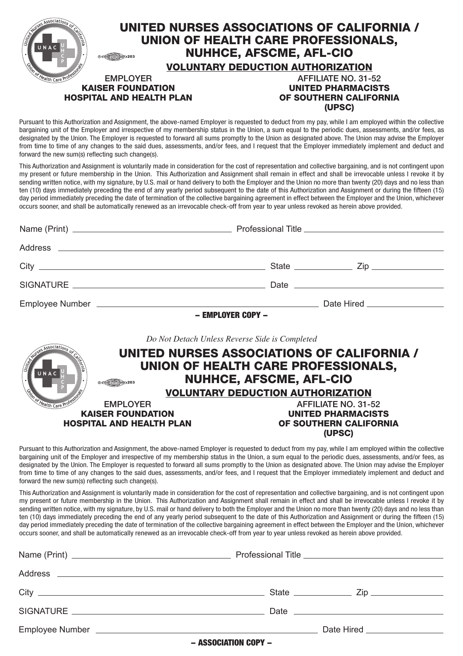|                                 |                 | UNITED NURSES ASSOCIATIONS OF CALIFORNIA /<br>UNION OF HEALTH CARE PROFESSIONALS,<br><b>NUHHCE, AFSCME, AFL-CIO</b><br><b>VOLUNTARY DEDUCTION AUTHORIZATION</b> |
|---------------------------------|-----------------|-----------------------------------------------------------------------------------------------------------------------------------------------------------------|
|                                 | <b>EMPLOYER</b> | AFFILIATE NO. 31-52                                                                                                                                             |
| <b>KAISER FOUNDATION</b>        |                 | <b>UNITED PHARMACISTS</b>                                                                                                                                       |
| <b>HOSPITAL AND HEALTH PLAN</b> |                 | OF SOUTHERN CALIFORNIA                                                                                                                                          |
|                                 |                 | (UPSC)                                                                                                                                                          |

Pursuant to this Authorization and Assignment, the above-named Employer is requested to deduct from my pay, while I am employed within the collective bargaining unit of the Employer and irrespective of my membership status in the Union, a sum equal to the periodic dues, assessments, and/or fees, as designated by the Union. The Employer is requested to forward all sums promptly to the Union as designated above. The Union may advise the Employer from time to time of any changes to the said dues, assessments, and/or fees, and I request that the Employer immediately implement and deduct and forward the new sum(s) reflecting such change(s).

This Authorization and Assignment is voluntarily made in consideration for the cost of representation and collective bargaining, and is not contingent upon my present or future membership in the Union. This Authorization and Assignment shall remain in effect and shall be irrevocable unless I revoke it by sending written notice, with my signature, by U.S. mail or hand delivery to both the Employer and the Union no more than twenty (20) days and no less than ten (10) days immediately preceding the end of any yearly period subsequent to the date of this Authorization and Assignment or during the fifteen (15) day period immediately preceding the date of termination of the collective bargaining agreement in effect between the Employer and the Union, whichever occurs sooner, and shall be automatically renewed as an irrevocable check-off from year to year unless revoked as herein above provided.

|                                                             |                                                                                                                                                                                                                                                                                                                                                                                                                                                                                                                                                                                                                            | - EMPLOYER COPY -                                                          |                                                               |
|-------------------------------------------------------------|----------------------------------------------------------------------------------------------------------------------------------------------------------------------------------------------------------------------------------------------------------------------------------------------------------------------------------------------------------------------------------------------------------------------------------------------------------------------------------------------------------------------------------------------------------------------------------------------------------------------------|----------------------------------------------------------------------------|---------------------------------------------------------------|
| <b>STATES ASSOCIAtions of</b><br>UNAC                       | Do Not Detach Unless Reverse Side is Completed<br>UNITED NURSES ASSOCIATIONS OF CALIFORNIA /<br>UNION OF HEALTH CARE PROFESSIONALS,                                                                                                                                                                                                                                                                                                                                                                                                                                                                                        | <b>NUHHCE, AFSCME, AFL-CIO</b><br><b>VOLUNTARY DEDUCTION AUTHORIZATION</b> |                                                               |
| of Health Care Profe                                        | <b>EMPLOYER</b>                                                                                                                                                                                                                                                                                                                                                                                                                                                                                                                                                                                                            |                                                                            | AFFILIATE NO. 31-52                                           |
| <b>KAISER FOUNDATION</b><br><b>HOSPITAL AND HEALTH PLAN</b> |                                                                                                                                                                                                                                                                                                                                                                                                                                                                                                                                                                                                                            |                                                                            | <b>UNITED PHARMACISTS</b><br>OF SOUTHERN CALIFORNIA<br>(UPSC) |
| forward the new sum(s) reflecting such change(s).           | Pursuant to this Authorization and Assignment, the above-named Employer is requested to deduct from my pay, while I am employed within the collective<br>bargaining unit of the Employer and irrespective of my membership status in the Union, a sum equal to the periodic dues, assessments, and/or fees, as<br>designated by the Union. The Employer is requested to forward all sums promptly to the Union as designated above. The Union may advise the Employer<br>from time to time of any changes to the said dues, assessments, and/or fees, and I request that the Employer immediately implement and deduct and |                                                                            |                                                               |
|                                                             | This Authorization and Assignment is voluntarily made in consideration for the cost of representation and collective bargaining, and is not contingent upon<br>my present or future membership in the Union. This Authorization and Assignment shall remain in effect and shall be irrevocable unless I revoke it by<br>and the colling antico colling in change to H O and colored delivered ball the Factoria and the Hales of more than triant (OO) derivated as had the than                                                                                                                                           |                                                                            |                                                               |

my present or future membership in the Union. This Authorization and Assignment shall remain in effect and shall be irrevocable unless I revoke it by sending written notice, with my signature, by U.S. mail or hand delivery to both the Employer and the Union no more than twenty (20) days and no less than ten (10) days immediately preceding the end of any yearly period subsequent to the date of this Authorization and Assignment or during the fifteen (15) day period immediately preceding the date of termination of the collective bargaining agreement in effect between the Employer and the Union, whichever occurs sooner, and shall be automatically renewed as an irrevocable check-off from year to year unless revoked as herein above provided.

| $\mathsf{City} \hspace{2pt} \bot$ |                  |                                  |
|-----------------------------------|------------------|----------------------------------|
|                                   |                  |                                  |
|                                   |                  | Date Hired <b>Date Example 1</b> |
|                                   | RECOGRATION CODY |                                  |